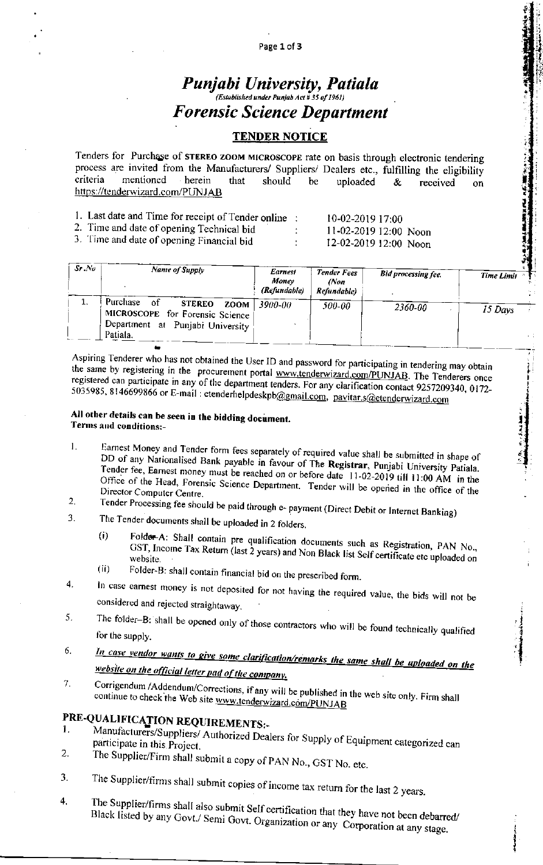## Punjabi University, Patiala (Established under Punjab Act # 35 of 1961) **Forensic Science Department**

### **TENDER NOTICE**

Tenders for Purchase of STEREO ZOOM MICROSCOPE rate on basis through electronic tendering process are invited from the Manufacturers/ Suppliers/ Dealers etc., fulfilling the eligibility criteria mentioned herein that should be uploaded & received  $\alpha$ n https://tenderwizard.com/PUNJAB

- 1. Last date and Time for receipt of Tender online :
- 2. Time and date of opening Technical bid
- 3. Time and date of opening Financial bid

10-02-2019 17:00 11-02-2019 12:00 Noon 12-02-2019 12:00 Noon

计文章

 $\label{eq:2} \mathbf{A} = \mathbf{A} \mathbf{A} + \mathbf{A} \mathbf{A} + \mathbf{A} \mathbf{A} + \mathbf{A} \mathbf{A} + \mathbf{A} \mathbf{A} + \mathbf{A} \mathbf{A} + \mathbf{A} \mathbf{A} + \mathbf{A} \mathbf{A} + \mathbf{A} \mathbf{A} + \mathbf{A} \mathbf{A} + \mathbf{A} \mathbf{A} + \mathbf{A} \mathbf{A} + \mathbf{A} \mathbf{A} + \mathbf{A} \mathbf{A} + \mathbf{A} \mathbf{A} + \mathbf{A} \mathbf{A$ 

| $Sr$ . $No$ | Name of Supply                                                                                                          | <b>Earnest</b><br>Money<br>(Refundable)<br>3900-00 | <b>Tender Fees</b><br>(Non<br>Refundable)<br>500-00 | <b>Bid processing fee.</b><br>2360-00 | <b>Time Limit</b><br>15 Days |
|-------------|-------------------------------------------------------------------------------------------------------------------------|----------------------------------------------------|-----------------------------------------------------|---------------------------------------|------------------------------|
|             | Purchase of<br><b>STEREO</b><br>ZOOM<br>MICROSCOPE for Forensic Science<br>Department at Punjabi University<br>Patiala. |                                                    |                                                     |                                       |                              |

 $\ddot{\ddot{\varepsilon}}$ 

 $\overline{1}$ 

Aspiring Tenderer who has not obtained the User ID and password for participating in tendering may obtain the same by registering in the procurement portal www.tenderwizard.com/PUNJAB. The Tenderers once registered can participate in any of the department tenders. For any clarification contact 9257209340, 0172-5035985, 8146699866 or E-mail: etenderhelpdeskpb@gmail.com, pavitar.s@etenderwizard.com

#### All other details can be seen in the bidding document. Terms and conditions:-

- Earnest Money and Tender form fees separately of required value shall be submitted in shape of 1. DD of any Nationalised Bank payable in favour of The Registrar, Punjabi University Patiala. Tender fee, Earnest money must be reached on or before date 11-02-2019 till 11:00 AM in the Office of the Head, Forensic Science Department. Tender will be opened in the office of the Director Computer Centre.
- Tender Processing fee should be paid through e- payment (Direct Debit or Internet Banking)  $2.$ 3.
	- The Tender documents shall be uploaded in 2 folders.
		- Folder-A: Shall contain pre qualification documents such as Registration, PAN No.,  $(i)$ GST, Income Tax Return (last 2 years) and Non Black list Self certificate etc uploaded on  $(ii)$
	- Folder-B: shall contain financial bid on the prescribed form.
- In case earnest money is not deposited for not having the required value, the bids will not be  $\overline{4}$ . considered and rejected straightaway.
- The folder-B: shall be opened only of those contractors who will be found technically qualified 5. for the supply.
- In case vendor wants to give some clarification/remarks the same shall be uploaded on the 6. website on the official letter pad of the company.
- Corrigendum /Addendum/Corrections, if any will be published in the web site only. Firm shall 7. continue to check the Web site www.tenderwizard.com/PUNJAB

# PRE-QUALIFICATION REQUIREMENTS:-

- Manufacturers/Suppliers/ Authorized Dealers for Supply of Equipment categorized can 1. participate in this Project. 2.
- The Supplier/Firm shall submit a copy of PAN No., GST No. etc.
- The Supplier/firms shall submit copies of income tax return for the last 2 years. 3.
- 4. The Supplier/firms shall also submit Self certification that they have not been debarred/ Black listed by any Govt./ Semi Govt. Organization or any Corporation at any stage.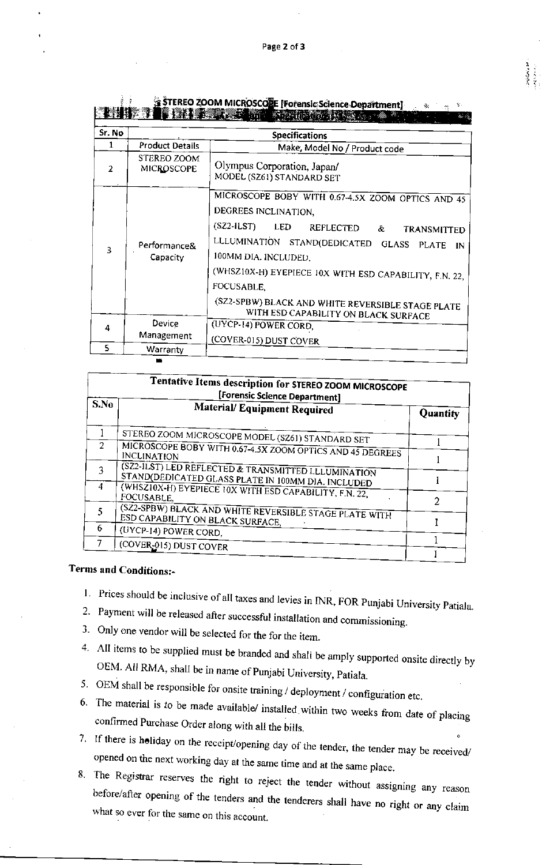|                          |                                  | STEREO ZOOM MICROSCOLE [Forensic Science Department]<br><b>THE RELEASE SECTION PROPERTY</b>                                                                                                                                                                                                                                                                   |  |  |  |  |  |
|--------------------------|----------------------------------|---------------------------------------------------------------------------------------------------------------------------------------------------------------------------------------------------------------------------------------------------------------------------------------------------------------------------------------------------------------|--|--|--|--|--|
| Sr. No                   |                                  | <b>Specifications</b>                                                                                                                                                                                                                                                                                                                                         |  |  |  |  |  |
| 1                        | <b>Product Details</b>           | Make, Model No / Product code                                                                                                                                                                                                                                                                                                                                 |  |  |  |  |  |
| $\overline{\phantom{a}}$ | STEREO ZOOM<br><b>MICROSCOPE</b> | Olympus Corporation, Japan/<br>MODEL (SZ61) STANDARD SET                                                                                                                                                                                                                                                                                                      |  |  |  |  |  |
| 3                        | Performance&<br>Capacity         | MICROSCOPE BOBY WITH 0.67-4.5X ZOOM OPTICS AND 45<br>DEGREES INCLINATION,<br>$(SZ2-ILST)$<br><b>LED</b><br>REFLECTED &<br><b>TRANSMITTED</b><br>LLLUMINATION STAND(DEDICATED GLASS<br><b>PLATE</b><br>IN<br>100MM DIA. INCLUDED,<br>(WHSZ10X-H) EYEPIECE 10X WITH ESD CAPABILITY, F.N. 22,<br>FOCUSABLE,<br>(SZ2-SPBW) BLACK AND WHITE REVERSIBLE STAGE PLATE |  |  |  |  |  |
| 4                        | Device                           | WITH ESD CAPABILITY ON BLACK SURFACE<br>(UYCP-14) POWER CORD,                                                                                                                                                                                                                                                                                                 |  |  |  |  |  |
|                          | Management                       | (COVER-015) DUST COVER                                                                                                                                                                                                                                                                                                                                        |  |  |  |  |  |
| 5                        | Warranty                         |                                                                                                                                                                                                                                                                                                                                                               |  |  |  |  |  |

| Tentative Items description for STEREO ZOOM MICROSCOPE<br>[Forensic Science Department] |                                                                                                           |                 |  |  |  |
|-----------------------------------------------------------------------------------------|-----------------------------------------------------------------------------------------------------------|-----------------|--|--|--|
| S.No                                                                                    | Material/ Equipment Required                                                                              | <b>Quantity</b> |  |  |  |
|                                                                                         | STEREO ZOOM MICROSCOPE MODEL (SZ61) STANDARD SET                                                          |                 |  |  |  |
| $\mathcal{P}$                                                                           | MICROSCOPE BOBY WITH 0.67-4.5X ZOOM OPTICS AND 45 DEGREES<br><b>INCLINATION</b>                           |                 |  |  |  |
|                                                                                         | (SZ2-ILST) LED REFLECTED & TRANSMITTED LLLUMINATION<br>STAND(DEDICATED GLASS PLATE IN 100MM DIA. INCLUDED |                 |  |  |  |
| 4                                                                                       | (WHSZ10X-H) EYEPIECE 10X WITH ESD CAPABILITY, F.N. 22,<br>FOCUSABLE,                                      |                 |  |  |  |
|                                                                                         | (SZ2-SPBW) BLACK AND WHITE REVERSIBLE STAGE PLATE WITH<br>ESD CAPABILITY ON BLACK SURFACE,                | 7               |  |  |  |
| 6                                                                                       | (UYCP-14) POWER CORD,                                                                                     |                 |  |  |  |
|                                                                                         | (COVER-015) DUST COVER                                                                                    |                 |  |  |  |

## **Terms and Conditions:-**

 $\frac{1}{2}$ 

- 1. Prices should be inclusive of all taxes and levies in INR, FOR Punjabi University Patiala.
- 2. Payment will be released after successful installation and commissioning.
- 3. Only one vendor will be selected for the for the item.
- 4. All items to be supplied must be branded and shall be amply supported onsite directly by OEM. All RMA, shall be in name of Punjabi University, Patiala.
- 5. OEM shall be responsible for onsite training / deployment / configuration etc.
- 6. The material is to be made available/ installed within two weeks from date of placing confirmed Purchase Order along with all the bills.
- 7. If there is holiday on the receipt/opening day of the tender, the tender may be received/ opened on the next working day at the same time and at the same place.
- 8. The Registrar reserves the right to reject the tender without assigning any reason before/after opening of the tenders and the tenderers shall have no right or any claim what so ever for the same on this account.